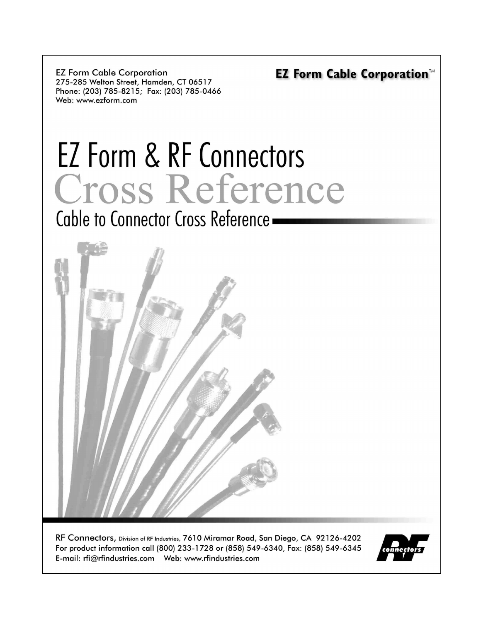**EZ Form Cable Corporation** 275-285 Welton Street, Hamden, CT 06517 Phone: (203) 785-8215; Fax: (203) 785-0466 Web: www.ezform.com

# EZ Form & RF Connectors Cross Reference

Cable to Connector Cross Reference -



RF Connectors, Division of RF Industries, 7610 Miramar Road, San Diego, CA 92126-4202 For product information call (800) 233-1728 or (858) 549-6340, Fax: (858) 549-6345 

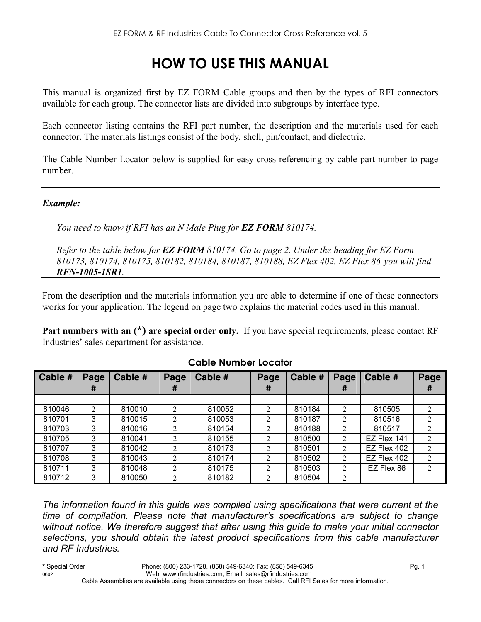## **HOW TO USE THIS MANUAL**

This manual is organized first by EZ FORM Cable groups and then by the types of RFI connectors available for each group. The connector lists are divided into subgroups by interface type.

Each connector listing contains the RFI part number, the description and the materials used for each connector. The materials listings consist of the body, shell, pin/contact, and dielectric.

The Cable Number Locator below is supplied for easy cross-referencing by cable part number to page number.

#### *Example:*

*You need to know if RFI has an N Male Plug for EZ FORM 810174.* 

*Refer to the table below for EZ FORM 810174. Go to page 2. Under the heading for EZ Form 810173, 810174, 810175, 810182, 810184, 810187, 810188, EZ Flex 402, EZ Flex 86 you will find RFN-1005-1SR1.* 

From the description and the materials information you are able to determine if one of these connectors works for your application. The legend on page two explains the material codes used in this manual.

**Part numbers with an (\*) are special order only.** If you have special requirements, please contact RF Industries' sales department for assistance.

| Cable # | Page | Cable # | Page           | Cable # | Page           | <b>Cable #</b> | Page           | Cable #     | Page           |
|---------|------|---------|----------------|---------|----------------|----------------|----------------|-------------|----------------|
|         | #    |         | #              |         | #              |                | Ŧ              |             | #              |
|         |      |         |                |         |                |                |                |             |                |
| 810046  | 2    | 810010  | $\overline{2}$ | 810052  | $\mathfrak{D}$ | 810184         | 2              | 810505      | 2              |
| 810701  | 3    | 810015  | $\mathfrak{D}$ | 810053  | 2              | 810187         | 2              | 810516      | $\overline{2}$ |
| 810703  | 3    | 810016  | $\overline{2}$ | 810154  | $\overline{c}$ | 810188         | $\mathfrak{D}$ | 810517      | $\overline{2}$ |
| 810705  | 3    | 810041  | $\mathfrak{D}$ | 810155  | 2              | 810500         | 2              | EZ Flex 141 |                |
| 810707  | 3    | 810042  | $\overline{2}$ | 810173  | 2              | 810501         | 2              | EZ Flex 402 | 2              |
| 810708  | 3    | 810043  | $\overline{2}$ | 810174  | 2              | 810502         | 2              | EZ Flex 402 | 2              |
| 810711  | 3    | 810048  | $\overline{2}$ | 810175  | 2              | 810503         | $\mathfrak{D}$ | EZ Flex 86  | 2              |
| 810712  | 3    | 810050  | $\overline{2}$ | 810182  | $\overline{2}$ | 810504         | 2              |             |                |

#### **Cable Number Locator**

*The information found in this guide was compiled using specifications that were current at the time of compilation. Please note that manufacturer's specifications are subject to change without notice. We therefore suggest that after using this guide to make your initial connector selections, you should obtain the latest product specifications from this cable manufacturer and RF Industries.*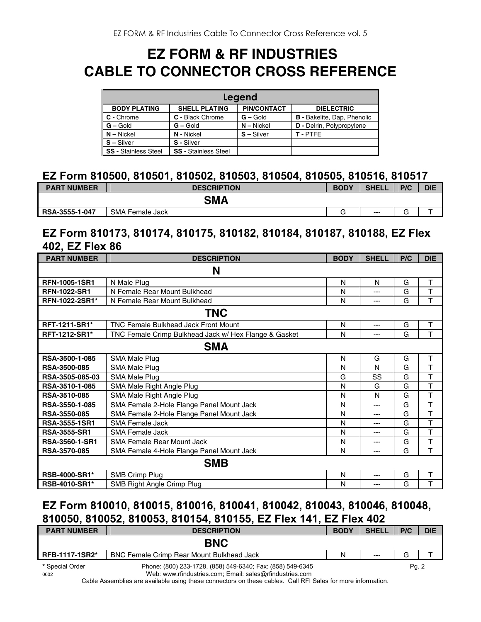## **EZ FORM & RF INDUSTRIES CABLE TO CONNECTOR CROSS REFERENCE**

| Legend                      |                             |                    |                                    |  |  |  |  |
|-----------------------------|-----------------------------|--------------------|------------------------------------|--|--|--|--|
| <b>BODY PLATING</b>         | <b>SHELL PLATING</b>        | <b>PIN/CONTACT</b> | <b>DIELECTRIC</b>                  |  |  |  |  |
| C - Chrome                  | C - Black Chrome            | $G -$ Gold         | <b>B</b> - Bakelite, Dap, Phenolic |  |  |  |  |
| $G - Gold$                  | $G - Gold$                  | $N -$ Nickel       | <b>D</b> - Delrin, Polypropylene   |  |  |  |  |
| $N - Nickel$                | N - Nickel                  | $S - Silver$       | T-PTFE                             |  |  |  |  |
| $S - Silver$                | S - Silver                  |                    |                                    |  |  |  |  |
| <b>SS - Stainless Steel</b> | <b>SS - Stainless Steel</b> |                    |                                    |  |  |  |  |

#### **EZ Form 810500, 810501, 810502, 810503, 810504, 810505, 810516, 810517**

| <b>PART NUMBER</b> | <b>DESCRIPTION</b> | <b>BODY</b> | <b>SHELL</b> | P/C | <b>DIE</b> |
|--------------------|--------------------|-------------|--------------|-----|------------|
|                    | <b>SMA</b>         |             |              |     |            |
| RSA-3555-1-047     | SMA Female Jack    |             | $---$        | ∽   |            |

#### **EZ Form 810173, 810174, 810175, 810182, 810184, 810187, 810188, EZ Flex 402, EZ Flex 86**

| <b>PART NUMBER</b>    | <b>DESCRIPTION</b>                                    | <b>BODY</b> | <b>SHELL</b> | P/C | <b>DIE</b>              |  |  |
|-----------------------|-------------------------------------------------------|-------------|--------------|-----|-------------------------|--|--|
| N                     |                                                       |             |              |     |                         |  |  |
| <b>RFN-1005-1SR1</b>  | N Male Plug                                           | N           | N            | G   | T                       |  |  |
| <b>RFN-1022-SR1</b>   | N Female Rear Mount Bulkhead                          | N           | ---          | G   | T                       |  |  |
| <b>RFN-1022-2SR1*</b> | N Female Rear Mount Bulkhead                          | N           | ---          | G   | T                       |  |  |
| <b>TNC</b>            |                                                       |             |              |     |                         |  |  |
| <b>RFT-1211-SR1*</b>  | <b>TNC Female Bulkhead Jack Front Mount</b>           | N           | ---          | G   | Τ                       |  |  |
| RFT-1212-SR1*         | TNC Female Crimp Bulkhead Jack w/ Hex Flange & Gasket | N           | ---          | G   | T                       |  |  |
| <b>SMA</b>            |                                                       |             |              |     |                         |  |  |
| RSA-3500-1-085        | SMA Male Plug                                         | N           | G            | G   | T                       |  |  |
| <b>RSA-3500-085</b>   | SMA Male Plug                                         | N           | N            | G   | T                       |  |  |
| RSA-3505-085-03       | SMA Male Plug                                         | G           | SS           | G   | T                       |  |  |
| RSA-3510-1-085        | SMA Male Right Angle Plug                             | N           | G            | G   | T                       |  |  |
| RSA-3510-085          | SMA Male Right Angle Plug                             | N           | N            | G   | T                       |  |  |
| RSA-3550-1-085        | SMA Female 2-Hole Flange Panel Mount Jack             | N           | ---          | G   | T                       |  |  |
| RSA-3550-085          | SMA Female 2-Hole Flange Panel Mount Jack             | N           | ---          | G   | $\overline{\mathsf{T}}$ |  |  |
| RSA-3555-1SR1         | <b>SMA Female Jack</b>                                | N           | ---          | G   | T                       |  |  |
| <b>RSA-3555-SR1</b>   | SMA Female Jack                                       | N           | ---          | G   | T                       |  |  |
| <b>RSA-3560-1-SR1</b> | <b>SMA Female Rear Mount Jack</b>                     | N           | ---          | G   | $\mathsf T$             |  |  |
| <b>RSA-3570-085</b>   | SMA Female 4-Hole Flange Panel Mount Jack             | N           | ---          | G   | T                       |  |  |
| <b>SMB</b>            |                                                       |             |              |     |                         |  |  |
| RSB-4000-SR1*         | <b>SMB Crimp Plug</b>                                 | N           | $---$        | G   | T                       |  |  |
| <b>RSB-4010-SR1*</b>  | SMB Right Angle Crimp Plug                            | N           | $---$        | G   | T                       |  |  |

### **EZ Form 810010, 810015, 810016, 810041, 810042, 810043, 810046, 810048, 810050, 810052, 810053, 810154, 810155, EZ Flex 141, EZ Flex 402**

| <b>PART NUMBER</b>      | <b>DESCRIPTION</b>                                                                                                     | <b>BODY</b> | <b>SHELL</b> | P/C   | <b>DIE</b> |
|-------------------------|------------------------------------------------------------------------------------------------------------------------|-------------|--------------|-------|------------|
|                         | <b>BNC</b>                                                                                                             |             |              |       |            |
| RFB-1117-1SR2*          | <b>BNC Female Crimp Rear Mount Bulkhead Jack</b>                                                                       | N           | $---$        | G     |            |
| * Special Order<br>0602 | Phone: (800) 233-1728, (858) 549-6340; Fax: (858) 549-6345<br>Web: www.rfindustries.com; Email: sales@rfindustries.com |             |              | Pg. 2 |            |

Cable Assemblies are available using these connectors on these cables. Call RFI Sales for more information.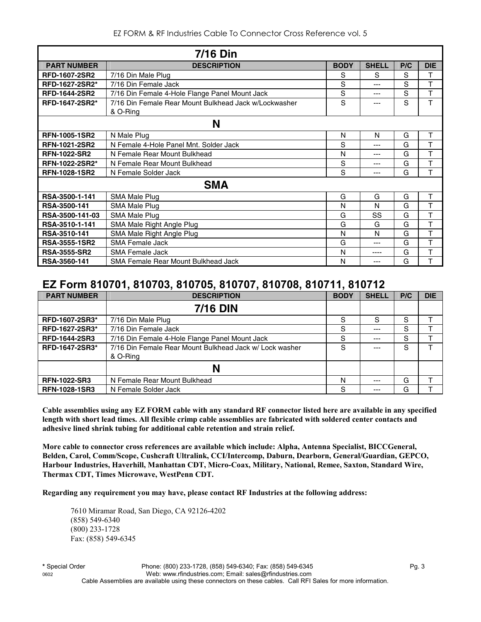EZ FORM & RF Industries Cable To Connector Cross Reference vol. 5

|                       | <b>7/16 Din</b>                                                   |             |              |     |            |  |  |  |
|-----------------------|-------------------------------------------------------------------|-------------|--------------|-----|------------|--|--|--|
| <b>PART NUMBER</b>    | <b>DESCRIPTION</b>                                                | <b>BODY</b> | <b>SHELL</b> | P/C | <b>DIE</b> |  |  |  |
| <b>RFD-1607-2SR2</b>  | 7/16 Din Male Plug                                                | S           | S            | S   | т          |  |  |  |
| RFD-1627-2SR2*        | 7/16 Din Female Jack                                              | S           | ---          | S   | T          |  |  |  |
| <b>RFD-1644-2SR2</b>  | 7/16 Din Female 4-Hole Flange Panel Mount Jack                    | S           | ---          | S   | T          |  |  |  |
| RFD-1647-2SR2*        | 7/16 Din Female Rear Mount Bulkhead Jack w/Lockwasher<br>& O-Ring | S           | ---          | S   | T          |  |  |  |
|                       | N                                                                 |             |              |     |            |  |  |  |
| <b>RFN-1005-1SR2</b>  | N Male Plug                                                       | N           | N            | G   | T          |  |  |  |
| <b>RFN-1021-2SR2</b>  | N Female 4-Hole Panel Mnt. Solder Jack                            | S           | ---          | G   | T          |  |  |  |
| <b>RFN-1022-SR2</b>   | N Female Rear Mount Bulkhead                                      | N           | ---          | G   | T          |  |  |  |
| <b>RFN-1022-2SR2*</b> | N Female Rear Mount Bulkhead                                      | S           | ---          | G   | T          |  |  |  |
| RFN-1028-1SR2         | N Female Solder Jack                                              | S           | ---          | G   | T          |  |  |  |
|                       | <b>SMA</b>                                                        |             |              |     |            |  |  |  |
| RSA-3500-1-141        | <b>SMA Male Plug</b>                                              | G           | G            | G   | T          |  |  |  |
| RSA-3500-141          | SMA Male Plug                                                     | N           | N            | G   | T          |  |  |  |
| RSA-3500-141-03       | SMA Male Plug                                                     | G           | SS           | G   | T          |  |  |  |
| RSA-3510-1-141        | SMA Male Right Angle Plug                                         | G           | G            | G   | T          |  |  |  |
| RSA-3510-141          | SMA Male Right Angle Plug                                         | N           | N            | G   | T          |  |  |  |
| <b>RSA-3555-1SR2</b>  | <b>SMA Female Jack</b>                                            | G           | ---          | G   | T          |  |  |  |
| <b>RSA-3555-SR2</b>   | <b>SMA Female Jack</b>                                            | N           | ----         | G   | T          |  |  |  |
| RSA-3560-141          | SMA Female Rear Mount Bulkhead Jack                               | N           | ---          | G   | T          |  |  |  |

#### **EZ Form 810701, 810703, 810705, 810707, 810708, 810711, 810712**

| <b>PART NUMBER</b>    | <b>DESCRIPTION</b>                                      | <b>BODY</b> | <b>SHELL</b> | P/C | <b>DIE</b> |
|-----------------------|---------------------------------------------------------|-------------|--------------|-----|------------|
|                       | <b>7/16 DIN</b>                                         |             |              |     |            |
| <b>RFD-1607-2SR3*</b> | 7/16 Din Male Plug                                      | S           | S            | S   |            |
| RFD-1627-2SR3*        | 7/16 Din Female Jack                                    | S           | $---$        | S   |            |
| <b>RFD-1644-2SR3</b>  | 7/16 Din Female 4-Hole Flange Panel Mount Jack          | S           | $--$         | S   |            |
| RFD-1647-2SR3*        | 7/16 Din Female Rear Mount Bulkhead Jack w/ Lock washer |             |              | S   |            |
|                       | & O-Ring                                                |             |              |     |            |
|                       | N                                                       |             |              |     |            |
| <b>RFN-1022-SR3</b>   | N Female Rear Mount Bulkhead                            | N           | $---$        | G   |            |
| <b>RFN-1028-1SR3</b>  | N Female Solder Jack                                    | S           | ---          | G   |            |

**Cable assemblies using any EZ FORM cable with any standard RF connector listed here are available in any specified length with short lead times. All flexible crimp cable assemblies are fabricated with soldered center contacts and adhesive lined shrink tubing for additional cable retention and strain relief.** 

**More cable to connector cross references are available which include: Alpha, Antenna Specialist, BICCGeneral, Belden, Carol, Comm/Scope, Cushcraft Ultralink, CCI/Intercomp, Daburn, Dearborn, General/Guardian, GEPCO, Harbour Industries, Haverhill, Manhattan CDT, Micro-Coax, Military, National, Remee, Saxton, Standard Wire, Thermax CDT, Times Microwave, WestPenn CDT.** 

**Regarding any requirement you may have, please contact RF Industries at the following address:**

 7610 Miramar Road, San Diego, CA 92126-4202 (858) 549-6340 (800) 233-1728 Fax: (858) 549-6345